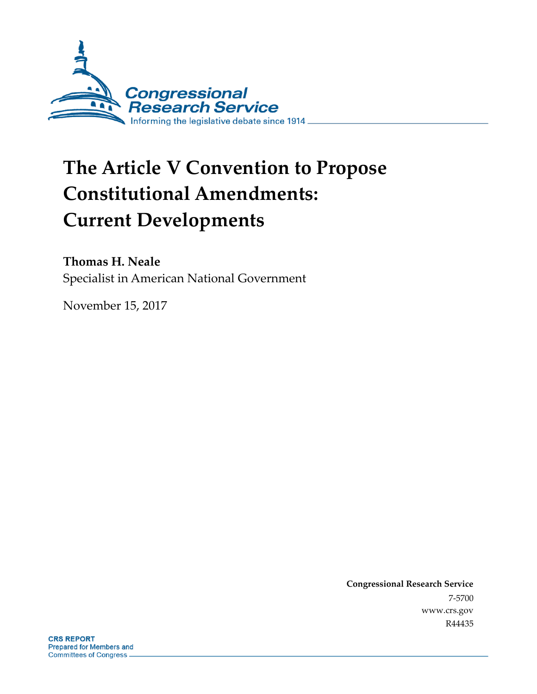

# **The Article V Convention to Propose Constitutional Amendments: Current Developments**

#### **Thomas H. Neale**

Specialist in American National Government

November 15, 2017

**Congressional Research Service** 7-5700 www.crs.gov R44435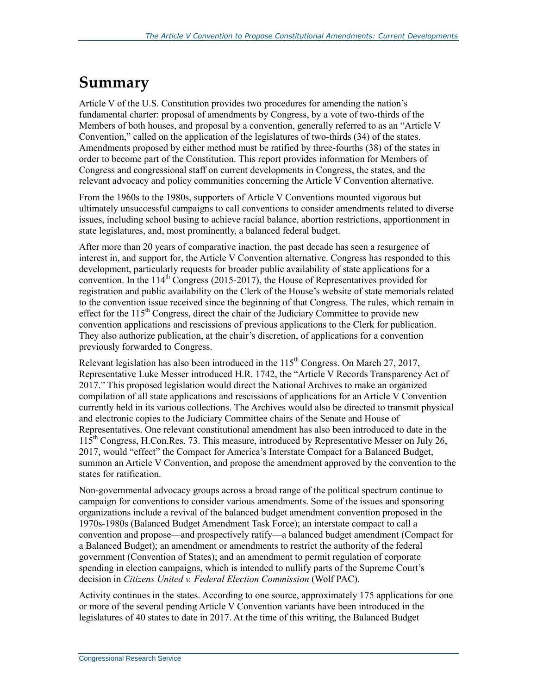### **Summary**

Article V of the U.S. Constitution provides two procedures for amending the nation's fundamental charter: proposal of amendments by Congress, by a vote of two-thirds of the Members of both houses, and proposal by a convention, generally referred to as an "Article V Convention," called on the application of the legislatures of two-thirds (34) of the states. Amendments proposed by either method must be ratified by three-fourths (38) of the states in order to become part of the Constitution. This report provides information for Members of Congress and congressional staff on current developments in Congress, the states, and the relevant advocacy and policy communities concerning the Article V Convention alternative.

From the 1960s to the 1980s, supporters of Article V Conventions mounted vigorous but ultimately unsuccessful campaigns to call conventions to consider amendments related to diverse issues, including school busing to achieve racial balance, abortion restrictions, apportionment in state legislatures, and, most prominently, a balanced federal budget.

After more than 20 years of comparative inaction, the past decade has seen a resurgence of interest in, and support for, the Article V Convention alternative. Congress has responded to this development, particularly requests for broader public availability of state applications for a convention. In the 114<sup>th</sup> Congress (2015-2017), the House of Representatives provided for registration and public availability on the Clerk of the House's website of state memorials related to the convention issue received since the beginning of that Congress. The rules, which remain in effect for the  $115<sup>th</sup>$  Congress, direct the chair of the Judiciary Committee to provide new convention applications and rescissions of previous applications to the Clerk for publication. They also authorize publication, at the chair's discretion, of applications for a convention previously forwarded to Congress.

Relevant legislation has also been introduced in the  $115<sup>th</sup>$  Congress. On March 27, 2017, Representative Luke Messer introduced H.R. 1742, the "Article V Records Transparency Act of 2017." This proposed legislation would direct the National Archives to make an organized compilation of all state applications and rescissions of applications for an Article V Convention currently held in its various collections. The Archives would also be directed to transmit physical and electronic copies to the Judiciary Committee chairs of the Senate and House of Representatives. One relevant constitutional amendment has also been introduced to date in the  $115<sup>th</sup>$  Congress, H.Con.Res. 73. This measure, introduced by Representative Messer on July 26, 2017, would "effect" the Compact for America's Interstate Compact for a Balanced Budget, summon an Article V Convention, and propose the amendment approved by the convention to the states for ratification.

Non-governmental advocacy groups across a broad range of the political spectrum continue to campaign for conventions to consider various amendments. Some of the issues and sponsoring organizations include a revival of the balanced budget amendment convention proposed in the 1970s-1980s (Balanced Budget Amendment Task Force); an interstate compact to call a convention and propose—and prospectively ratify—a balanced budget amendment (Compact for a Balanced Budget); an amendment or amendments to restrict the authority of the federal government (Convention of States); and an amendment to permit regulation of corporate spending in election campaigns, which is intended to nullify parts of the Supreme Court's decision in *Citizens United v. Federal Election Commission* (Wolf PAC).

Activity continues in the states. According to one source, approximately 175 applications for one or more of the several pending Article V Convention variants have been introduced in the legislatures of 40 states to date in 2017. At the time of this writing, the Balanced Budget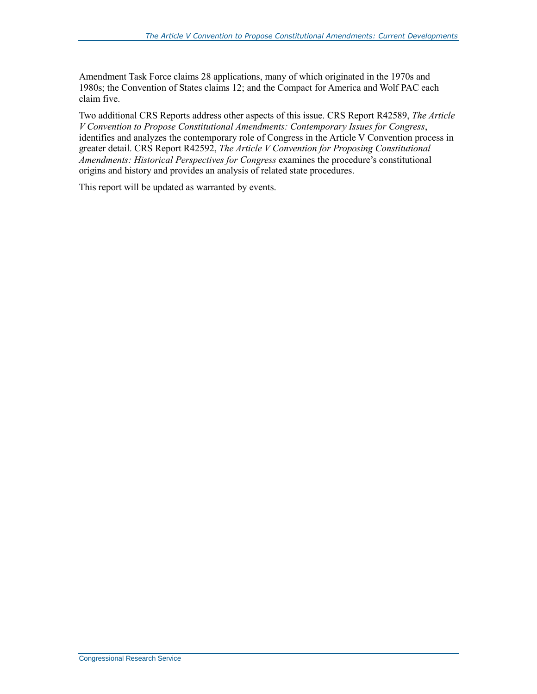Amendment Task Force claims 28 applications, many of which originated in the 1970s and 1980s; the Convention of States claims 12; and the Compact for America and Wolf PAC each claim five.

Two additional CRS Reports address other aspects of this issue. CRS Report R42589, *The Article V Convention to Propose Constitutional Amendments: Contemporary Issues for Congress*, identifies and analyzes the contemporary role of Congress in the Article V Convention process in greater detail. CRS Report R42592, *The Article V Convention for Proposing Constitutional Amendments: Historical Perspectives for Congress* examines the procedure's constitutional origins and history and provides an analysis of related state procedures.

This report will be updated as warranted by events.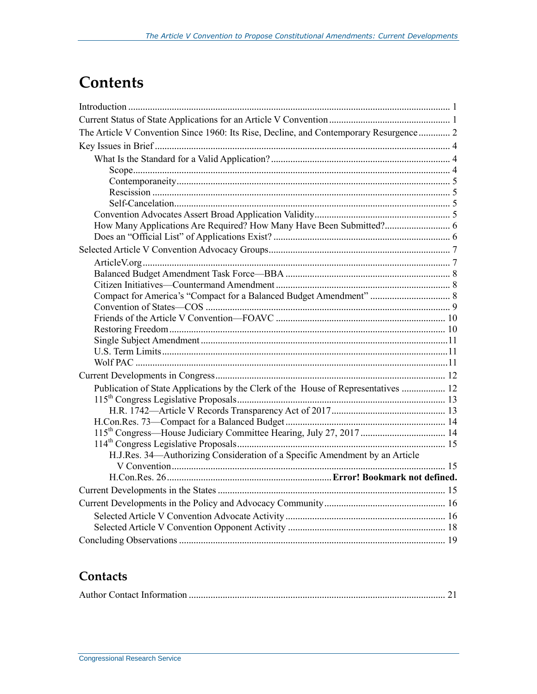## **Contents**

| The Article V Convention Since 1960: Its Rise, Decline, and Contemporary Resurgence 2 |  |
|---------------------------------------------------------------------------------------|--|
|                                                                                       |  |
|                                                                                       |  |
|                                                                                       |  |
|                                                                                       |  |
|                                                                                       |  |
|                                                                                       |  |
|                                                                                       |  |
| How Many Applications Are Required? How Many Have Been Submitted? 6                   |  |
|                                                                                       |  |
|                                                                                       |  |
|                                                                                       |  |
|                                                                                       |  |
|                                                                                       |  |
|                                                                                       |  |
|                                                                                       |  |
|                                                                                       |  |
|                                                                                       |  |
|                                                                                       |  |
|                                                                                       |  |
|                                                                                       |  |
| Publication of State Applications by the Clerk of the House of Representatives  12    |  |
|                                                                                       |  |
|                                                                                       |  |
|                                                                                       |  |
| 115 <sup>th</sup> Congress—House Judiciary Committee Hearing, July 27, 2017  14       |  |
|                                                                                       |  |
| H.J.Res. 34 Authorizing Consideration of a Specific Amendment by an Article           |  |
|                                                                                       |  |
|                                                                                       |  |
|                                                                                       |  |
|                                                                                       |  |
|                                                                                       |  |
|                                                                                       |  |
|                                                                                       |  |

### **Contacts**

|--|--|--|--|--|--|--|--|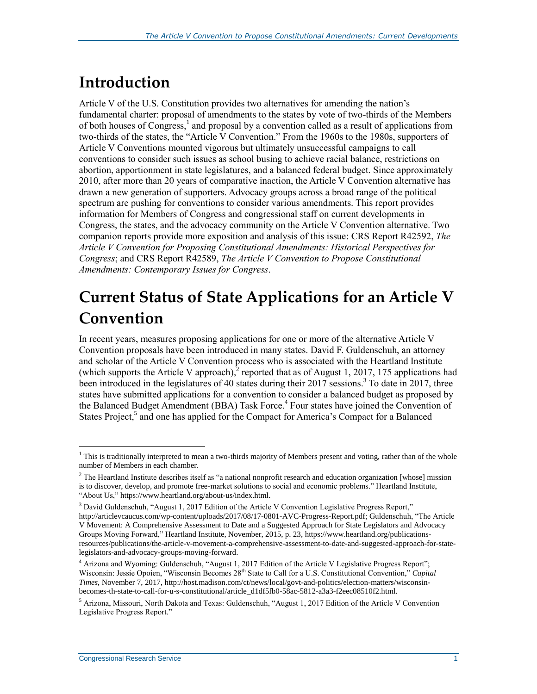## **Introduction**

Article V of the U.S. Constitution provides two alternatives for amending the nation's fundamental charter: proposal of amendments to the states by vote of two-thirds of the Members of both houses of Congress,<sup>1</sup> and proposal by a convention called as a result of applications from two-thirds of the states, the "Article V Convention." From the 1960s to the 1980s, supporters of Article V Conventions mounted vigorous but ultimately unsuccessful campaigns to call conventions to consider such issues as school busing to achieve racial balance, restrictions on abortion, apportionment in state legislatures, and a balanced federal budget. Since approximately 2010, after more than 20 years of comparative inaction, the Article V Convention alternative has drawn a new generation of supporters. Advocacy groups across a broad range of the political spectrum are pushing for conventions to consider various amendments. This report provides information for Members of Congress and congressional staff on current developments in Congress, the states, and the advocacy community on the Article V Convention alternative. Two companion reports provide more exposition and analysis of this issue: CRS Report R42592, *The Article V Convention for Proposing Constitutional Amendments: Historical Perspectives for Congress*; and CRS Report R42589, *The Article V Convention to Propose Constitutional Amendments: Contemporary Issues for Congress*.

## **Current Status of State Applications for an Article V Convention**

In recent years, measures proposing applications for one or more of the alternative Article V Convention proposals have been introduced in many states. David F. Guldenschuh, an attorney and scholar of the Article V Convention process who is associated with the Heartland Institute (which supports the Article V approach),<sup>2</sup> reported that as of August 1, 2017, 175 applications had been introduced in the legislatures of 40 states during their 2017 sessions.<sup>3</sup> To date in 2017, three states have submitted applications for a convention to consider a balanced budget as proposed by the Balanced Budget Amendment (BBA) Task Force. 4 Four states have joined the Convention of States Project,<sup>5</sup> and one has applied for the Compact for America's Compact for a Balanced

 $1$  This is traditionally interpreted to mean a two-thirds majority of Members present and voting, rather than of the whole number of Members in each chamber.

<sup>&</sup>lt;sup>2</sup> The Heartland Institute describes itself as "a national nonprofit research and education organization [whose] mission is to discover, develop, and promote free-market solutions to social and economic problems." Heartland Institute, "About Us," https://www.heartland.org/about-us/index.html.

<sup>&</sup>lt;sup>3</sup> David Guldenschuh, "August 1, 2017 Edition of the Article V Convention Legislative Progress Report," http://articlevcaucus.com/wp-content/uploads/2017/08/17-0801-AVC-Progress-Report.pdf; Guldenschuh, "The Article V Movement: A Comprehensive Assessment to Date and a Suggested Approach for State Legislators and Advocacy Groups Moving Forward," Heartland Institute, November, 2015, p. 23, https://www.heartland.org/publicationsresources/publications/the-article-v-movement-a-comprehensive-assessment-to-date-and-suggested-approach-for-statelegislators-and-advocacy-groups-moving-forward.

<sup>&</sup>lt;sup>4</sup> Arizona and Wyoming: Guldenschuh, "August 1, 2017 Edition of the Article V Legislative Progress Report"; Wisconsin: Jessie Opoien, "Wisconsin Becomes 28<sup>th</sup> State to Call for a U.S. Constitutional Convention," *Capital Times*, November 7, 2017, http://host.madison.com/ct/news/local/govt-and-politics/election-matters/wisconsinbecomes-th-state-to-call-for-u-s-constitutional/article\_d1df5fb0-58ac-5812-a3a3-f2eec08510f2.html.

<sup>5</sup> Arizona, Missouri, North Dakota and Texas: Guldenschuh, "August 1, 2017 Edition of the Article V Convention Legislative Progress Report."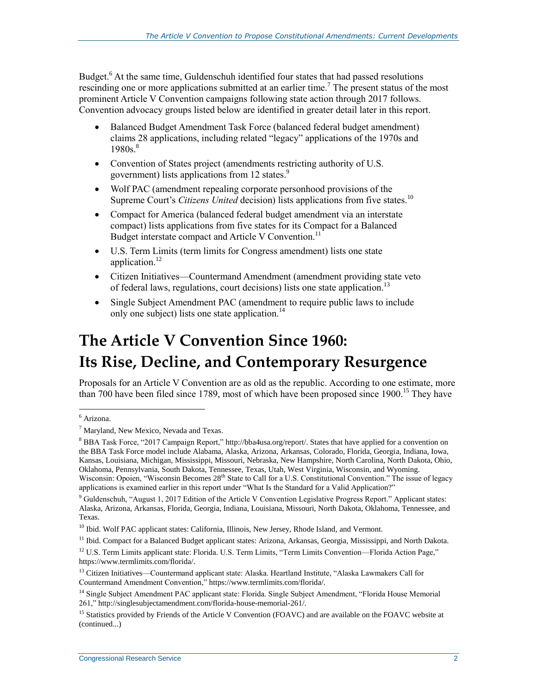Budget.<sup>6</sup> At the same time, Guldenschuh identified four states that had passed resolutions rescinding one or more applications submitted at an earlier time.<sup>7</sup> The present status of the most prominent Article V Convention campaigns following state action through 2017 follows. Convention advocacy groups listed below are identified in greater detail later in this report.

- Balanced Budget Amendment Task Force (balanced federal budget amendment) claims 28 applications, including related "legacy" applications of the 1970s and 1980s. 8
- Convention of States project (amendments restricting authority of U.S. government) lists applications from 12 states.<sup>9</sup>
- Wolf PAC (amendment repealing corporate personhood provisions of the Supreme Court's *Citizens United* decision) lists applications from five states.<sup>10</sup>
- Compact for America (balanced federal budget amendment via an interstate compact) lists applications from five states for its Compact for a Balanced Budget interstate compact and Article V Convention.<sup>11</sup>
- U.S. Term Limits (term limits for Congress amendment) lists one state application.<sup>12</sup>
- Citizen Initiatives—Countermand Amendment (amendment providing state veto of federal laws, regulations, court decisions) lists one state application.<sup>13</sup>
- Single Subject Amendment PAC (amendment to require public laws to include only one subject) lists one state application.<sup>14</sup>

## **The Article V Convention Since 1960: Its Rise, Decline, and Contemporary Resurgence**

Proposals for an Article V Convention are as old as the republic. According to one estimate, more than 700 have been filed since 1789, most of which have been proposed since 1900.<sup>15</sup> They have

 $\overline{a}$ <sup>6</sup> Arizona.

 $<sup>7</sup>$  Maryland, New Mexico, Nevada and Texas.</sup>

<sup>8</sup> BBA Task Force, "2017 Campaign Report," http://bba4usa.org/report/. States that have applied for a convention on the BBA Task Force model include Alabama, Alaska, Arizona, Arkansas, Colorado, Florida, Georgia, Indiana, Iowa, Kansas, Louisiana, Michigan, Mississippi, Missouri, Nebraska, New Hampshire, North Carolina, North Dakota, Ohio, Oklahoma, Pennsylvania, South Dakota, Tennessee, Texas, Utah, West Virginia, Wisconsin, and Wyoming. Wisconsin: Opoien, "Wisconsin Becomes  $28<sup>th</sup>$  State to Call for a U.S. Constitutional Convention." The issue of legacy applications is examined earlier in this report under "What Is the Standard for a Valid Application?"

<sup>9</sup> Guldenschuh, "August 1, 2017 Edition of the Article V Convention Legislative Progress Report." Applicant states: Alaska, Arizona, Arkansas, Florida, Georgia, Indiana, Louisiana, Missouri, North Dakota, Oklahoma, Tennessee, and Texas.

<sup>&</sup>lt;sup>10</sup> Ibid. Wolf PAC applicant states: California, Illinois, New Jersey, Rhode Island, and Vermont.

<sup>&</sup>lt;sup>11</sup> Ibid. Compact for a Balanced Budget applicant states: Arizona, Arkansas, Georgia, Mississippi, and North Dakota.

<sup>&</sup>lt;sup>12</sup> U.S. Term Limits applicant state: Florida. U.S. Term Limits, "Term Limits Convention—Florida Action Page," https://www.termlimits.com/florida/.

<sup>&</sup>lt;sup>13</sup> Citizen Initiatives—Countermand applicant state: Alaska. Heartland Institute, "Alaska Lawmakers Call for Countermand Amendment Convention," https://www.termlimits.com/florida/.

<sup>&</sup>lt;sup>14</sup> Single Subject Amendment PAC applicant state: Florida. Single Subject Amendment, "Florida House Memorial 261," http://singlesubjectamendment.com/florida-house-memorial-261/.

<sup>&</sup>lt;sup>15</sup> Statistics provided by Friends of the Article V Convention (FOAVC) and are available on the FOAVC website at (continued...)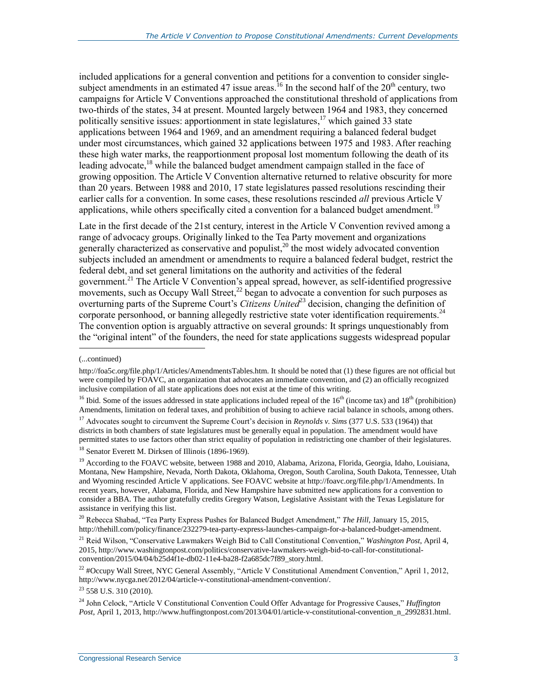included applications for a general convention and petitions for a convention to consider singlesubject amendments in an estimated 47 issue areas.<sup>16</sup> In the second half of the  $20<sup>th</sup>$  century, two campaigns for Article V Conventions approached the constitutional threshold of applications from two-thirds of the states, 34 at present. Mounted largely between 1964 and 1983, they concerned politically sensitive issues: apportionment in state legislatures,<sup>17</sup> which gained 33 state applications between 1964 and 1969, and an amendment requiring a balanced federal budget under most circumstances, which gained 32 applications between 1975 and 1983. After reaching these high water marks, the reapportionment proposal lost momentum following the death of its leading advocate,<sup>18</sup> while the balanced budget amendment campaign stalled in the face of growing opposition. The Article V Convention alternative returned to relative obscurity for more than 20 years. Between 1988 and 2010, 17 state legislatures passed resolutions rescinding their earlier calls for a convention. In some cases, these resolutions rescinded *all* previous Article V applications, while others specifically cited a convention for a balanced budget amendment.<sup>19</sup>

<span id="page-6-0"></span>Late in the first decade of the 21st century, interest in the Article V Convention revived among a range of advocacy groups. Originally linked to the Tea Party movement and organizations generally characterized as conservative and populist,<sup>20</sup> the most widely advocated convention subjects included an amendment or amendments to require a balanced federal budget, restrict the federal debt, and set general limitations on the authority and activities of the federal government.<sup>21</sup> The Article V Convention's appeal spread, however, as self-identified progressive movements, such as Occupy Wall Street,<sup>22</sup> began to advocate a convention for such purposes as overturning parts of the Supreme Court's *Citizens United*<sup>23</sup> decision, changing the definition of corporate personhood, or banning allegedly restrictive state voter identification requirements.<sup>24</sup> The convention option is arguably attractive on several grounds: It springs unquestionably from the "original intent" of the founders, the need for state applications suggests widespread popular

l

 $^{22}$  #Occupy Wall Street, NYC General Assembly, "Article V Constitutional Amendment Convention," April 1, 2012, http://www.nycga.net/2012/04/article-v-constitutional-amendment-convention/.

<sup>23</sup> 558 U.S. 310 (2010).

<sup>(...</sup>continued)

http://foa5c.org/file.php/1/Articles/AmendmentsTables.htm. It should be noted that (1) these figures are not official but were compiled by FOAVC, an organization that advocates an immediate convention, and (2) an officially recognized inclusive compilation of all state applications does not exist at the time of this writing.

<sup>&</sup>lt;sup>16</sup> Ibid. Some of the issues addressed in state applications included repeal of the  $16<sup>th</sup>$  (income tax) and  $18<sup>th</sup>$  (prohibition) Amendments, limitation on federal taxes, and prohibition of busing to achieve racial balance in schools, among others.

<sup>&</sup>lt;sup>17</sup> Advocates sought to circumvent the Supreme Court's decision in *Reynolds v. Sims* (377 U.S. 533 (1964)) that districts in both chambers of state legislatures must be generally equal in population. The amendment would have permitted states to use factors other than strict equality of population in redistricting one chamber of their legislatures.

<sup>&</sup>lt;sup>18</sup> Senator Everett M. Dirksen of Illinois (1896-1969).

<sup>&</sup>lt;sup>19</sup> According to the FOAVC website, between 1988 and 2010, Alabama, Arizona, Florida, Georgia, Idaho, Louisiana, Montana, New Hampshire, Nevada, North Dakota, Oklahoma, Oregon, South Carolina, South Dakota, Tennessee, Utah and Wyoming rescinded Article V applications. See FOAVC website at http://foavc.org/file.php/1/Amendments. In recent years, however, Alabama, Florida, and New Hampshire have submitted new applications for a convention to consider a BBA. The author gratefully credits Gregory Watson, Legislative Assistant with the Texas Legislature for assistance in verifying this list.

<sup>20</sup> Rebecca Shabad, "Tea Party Express Pushes for Balanced Budget Amendment," *The Hill*, January 15, 2015, http://thehill.com/policy/finance/232279-tea-party-express-launches-campaign-for-a-balanced-budget-amendment.

<sup>21</sup> Reid Wilson, "Conservative Lawmakers Weigh Bid to Call Constitutional Convention," *Washington Post*, April 4, 2015, http://www.washingtonpost.com/politics/conservative-lawmakers-weigh-bid-to-call-for-constitutionalconvention/2015/04/04/b25d4f1e-db02-11e4-ba28-f2a685dc7f89\_story.html.

<sup>24</sup> John Celock, "Article V Constitutional Convention Could Offer Advantage for Progressive Causes," *Huffington Post*, April 1, 2013, http://www.huffingtonpost.com/2013/04/01/article-v-constitutional-convention\_n\_2992831.html.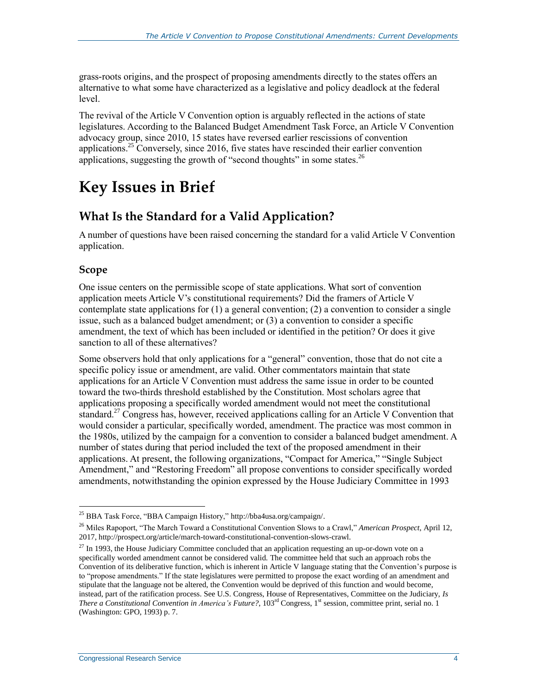grass-roots origins, and the prospect of proposing amendments directly to the states offers an alternative to what some have characterized as a legislative and policy deadlock at the federal level.

The revival of the Article V Convention option is arguably reflected in the actions of state legislatures. According to the Balanced Budget Amendment Task Force, an Article V Convention advocacy group, since 2010, 15 states have reversed earlier rescissions of convention applications.<sup>25</sup> Conversely, since 2016, five states have rescinded their earlier convention applications, suggesting the growth of "second thoughts" in some states.<sup>26</sup>

## **Key Issues in Brief**

### **What Is the Standard for a Valid Application?**

A number of questions have been raised concerning the standard for a valid Article V Convention application.

#### **Scope**

One issue centers on the permissible scope of state applications. What sort of convention application meets Article V's constitutional requirements? Did the framers of Article V contemplate state applications for  $(1)$  a general convention;  $(2)$  a convention to consider a single issue, such as a balanced budget amendment; or (3) a convention to consider a specific amendment, the text of which has been included or identified in the petition? Or does it give sanction to all of these alternatives?

Some observers hold that only applications for a "general" convention, those that do not cite a specific policy issue or amendment, are valid. Other commentators maintain that state applications for an Article V Convention must address the same issue in order to be counted toward the two-thirds threshold established by the Constitution. Most scholars agree that applications proposing a specifically worded amendment would not meet the constitutional standard.<sup>27</sup> Congress has, however, received applications calling for an Article V Convention that would consider a particular, specifically worded, amendment. The practice was most common in the 1980s, utilized by the campaign for a convention to consider a balanced budget amendment. A number of states during that period included the text of the proposed amendment in their applications. At present, the following organizations, "Compact for America," "Single Subject Amendment," and "Restoring Freedom" all propose conventions to consider specifically worded amendments, notwithstanding the opinion expressed by the House Judiciary Committee in 1993

 $\overline{a}$ <sup>25</sup> BBA Task Force, "BBA Campaign History," http://bba4usa.org/campaign/.

<sup>26</sup> Miles Rapoport, "The March Toward a Constitutional Convention Slows to a Crawl," *American Prospect*, April 12, 2017, http://prospect.org/article/march-toward-constitutional-convention-slows-crawl.

 $27$  In 1993, the House Judiciary Committee concluded that an application requesting an up-or-down vote on a specifically worded amendment cannot be considered valid. The committee held that such an approach robs the Convention of its deliberative function, which is inherent in Article V language stating that the Convention's purpose is to "propose amendments." If the state legislatures were permitted to propose the exact wording of an amendment and stipulate that the language not be altered, the Convention would be deprived of this function and would become, instead, part of the ratification process. See U.S. Congress, House of Representatives, Committee on the Judiciary, *Is There a Constitutional Convention in America's Future?*, 103rd Congress, 1st session, committee print, serial no. 1 (Washington: GPO, 1993) p. 7.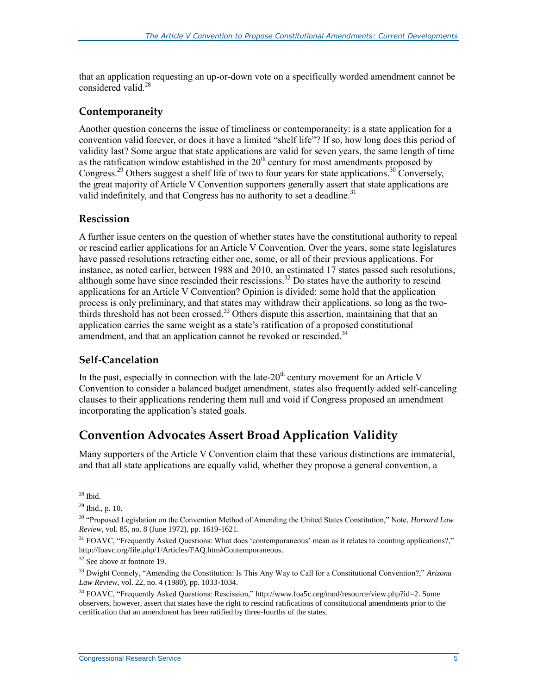that an application requesting an up-or-down vote on a specifically worded amendment cannot be considered valid.<sup>28</sup>

#### **Contemporaneity**

Another question concerns the issue of timeliness or contemporaneity: is a state application for a convention valid forever, or does it have a limited "shelf life"? If so, how long does this period of validity last? Some argue that state applications are valid for seven years, the same length of time as the ratification window established in the  $20<sup>th</sup>$  century for most amendments proposed by Congress.<sup>29</sup> Others suggest a shelf life of two to four years for state applications.<sup>30</sup> Conversely, the great majority of Article V Convention supporters generally assert that state applications are valid indefinitely, and that Congress has no authority to set a deadline.<sup>31</sup>

#### **Rescission**

A further issue centers on the question of whether states have the constitutional authority to repeal or rescind earlier applications for an Article V Convention. Over the years, some state legislatures have passed resolutions retracting either one, some, or all of their previous applications. For instance, as noted earlier, between 1988 and 2010, an estimated 17 states passed such resolutions, although some have since rescinded their rescissions.<sup>32</sup> Do states have the authority to rescind applications for an Article V Convention? Opinion is divided: some hold that the application process is only preliminary, and that states may withdraw their applications, so long as the twothirds threshold has not been crossed.<sup>33</sup> Others dispute this assertion, maintaining that that an application carries the same weight as a state's ratification of a proposed constitutional amendment, and that an application cannot be revoked or rescinded.<sup>34</sup>

#### **Self-Cancelation**

In the past, especially in connection with the late- $20<sup>th</sup>$  century movement for an Article V Convention to consider a balanced budget amendment, states also frequently added self-canceling clauses to their applications rendering them null and void if Congress proposed an amendment incorporating the application's stated goals.

#### **Convention Advocates Assert Broad Application Validity**

Many supporters of the Article V Convention claim that these various distinctions are immaterial, and that all state applications are equally valid, whether they propose a general convention, a

 $\overline{a}$  $28$  Ibid.

<sup>29</sup> Ibid., p. 10.

<sup>30</sup> "Proposed Legislation on the Convention Method of Amending the United States Constitution," Note, *Harvard Law Review*, vol. 85, no. 8 (June 1972), pp. 1619-1621.

 $31$  FOAVC, "Frequently Asked Questions: What does 'contemporaneous' mean as it relates to counting applications?," http://foavc.org/file.php/1/Articles/FAQ.htm#Contemporaneous.

 $32$  See above at footnot[e 19.](#page-6-0)

<sup>33</sup> Dwight Connely, "Amending the Constitution: Is This Any Way to Call for a Constitutional Convention?," *Arizona Law Review*, vol. 22, no. 4 (1980), pp. 1033-1034.

<sup>34</sup> FOAVC, "Frequently Asked Questions: Rescission," http://www.foa5c.org/mod/resource/view.php?id=2. Some observers, however, assert that states have the right to rescind ratifications of constitutional amendments prior to the certification that an amendment has been ratified by three-fourths of the states.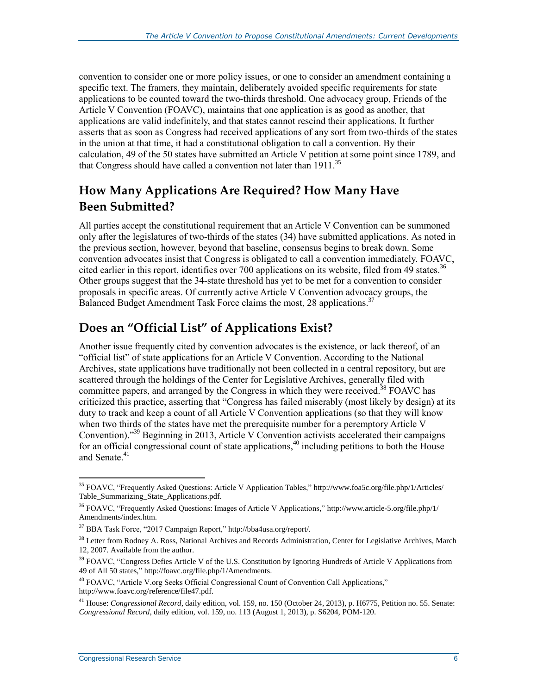convention to consider one or more policy issues, or one to consider an amendment containing a specific text. The framers, they maintain, deliberately avoided specific requirements for state applications to be counted toward the two-thirds threshold. One advocacy group, Friends of the Article V Convention (FOAVC), maintains that one application is as good as another, that applications are valid indefinitely, and that states cannot rescind their applications. It further asserts that as soon as Congress had received applications of any sort from two-thirds of the states in the union at that time, it had a constitutional obligation to call a convention. By their calculation, 49 of the 50 states have submitted an Article V petition at some point since 1789, and that Congress should have called a convention not later than  $1911^{35}$ 

### **How Many Applications Are Required? How Many Have Been Submitted?**

All parties accept the constitutional requirement that an Article V Convention can be summoned only after the legislatures of two-thirds of the states (34) have submitted applications. As noted in the previous section, however, beyond that baseline, consensus begins to break down. Some convention advocates insist that Congress is obligated to call a convention immediately. FOAVC, cited earlier in this report, identifies over 700 applications on its website, filed from 49 states.<sup>36</sup> Other groups suggest that the 34-state threshold has yet to be met for a convention to consider proposals in specific areas. Of currently active Article V Convention advocacy groups, the Balanced Budget Amendment Task Force claims the most, 28 applications.<sup>37</sup>

#### **Does an "Official List" of Applications Exist?**

Another issue frequently cited by convention advocates is the existence, or lack thereof, of an "official list" of state applications for an Article V Convention. According to the National Archives, state applications have traditionally not been collected in a central repository, but are scattered through the holdings of the Center for Legislative Archives, generally filed with committee papers, and arranged by the Congress in which they were received.<sup>38</sup> FOAVC has criticized this practice, asserting that "Congress has failed miserably (most likely by design) at its duty to track and keep a count of all Article V Convention applications (so that they will know when two thirds of the states have met the prerequisite number for a peremptory Article V Convention)."<sup>39</sup> Beginning in 2013, Article V Convention activists accelerated their campaigns for an official congressional count of state applications,<sup>40</sup> including petitions to both the House and Senate.<sup>41</sup>

<sup>35</sup> FOAVC, "Frequently Asked Questions: Article V Application Tables," http://www.foa5c.org/file.php/1/Articles/ Table\_Summarizing\_State\_Applications.pdf.

<sup>36</sup> FOAVC, "Frequently Asked Questions: Images of Article V Applications," http://www.article-5.org/file.php/1/ Amendments/index.htm.

<sup>37</sup> BBA Task Force, "2017 Campaign Report," http://bba4usa.org/report/.

<sup>&</sup>lt;sup>38</sup> Letter from Rodney A. Ross, National Archives and Records Administration, Center for Legislative Archives, March 12, 2007. Available from the author.

 $39$  FOAVC, "Congress Defies Article V of the U.S. Constitution by Ignoring Hundreds of Article V Applications from 49 of All 50 states," http://foavc.org/file.php/1/Amendments.

<sup>40</sup> FOAVC, "Article V.org Seeks Official Congressional Count of Convention Call Applications," http://www.foavc.org/reference/file47.pdf.

<sup>41</sup> House: *Congressional Record*, daily edition, vol. 159, no. 150 (October 24, 2013), p. H6775, Petition no. 55. Senate: *Congressional Record*, daily edition, vol. 159, no. 113 (August 1, 2013), p. S6204, POM-120.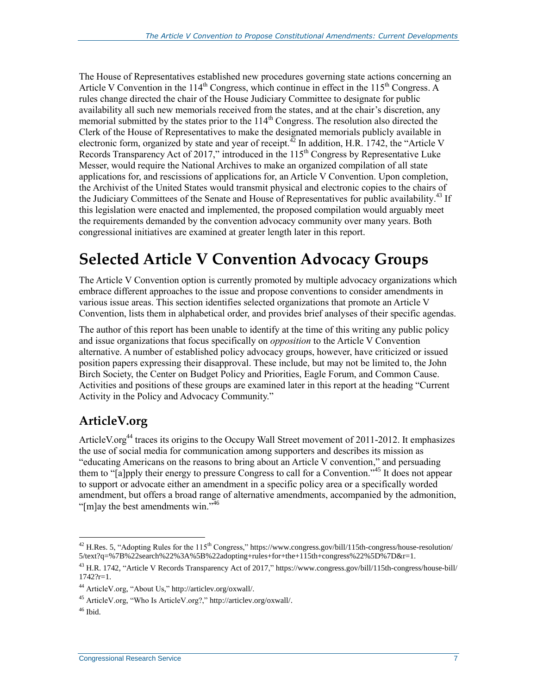The House of Representatives established new procedures governing state actions concerning an Article V Convention in the  $114<sup>th</sup>$  Congress, which continue in effect in the  $115<sup>th</sup>$  Congress. A rules change directed the chair of the House Judiciary Committee to designate for public availability all such new memorials received from the states, and at the chair's discretion, any memorial submitted by the states prior to the 114<sup>th</sup> Congress. The resolution also directed the Clerk of the House of Representatives to make the designated memorials publicly available in electronic form, organized by state and year of receipt.<sup>42</sup> In addition, H.R. 1742, the "Article V Records Transparency Act of 2017," introduced in the  $115<sup>th</sup>$  Congress by Representative Luke Messer, would require the National Archives to make an organized compilation of all state applications for, and rescissions of applications for, an Article V Convention. Upon completion, the Archivist of the United States would transmit physical and electronic copies to the chairs of the Judiciary Committees of the Senate and House of Representatives for public availability.<sup>43</sup> If this legislation were enacted and implemented, the proposed compilation would arguably meet the requirements demanded by the convention advocacy community over many years. Both congressional initiatives are examined at greater length later in this report.

## **Selected Article V Convention Advocacy Groups**

The Article V Convention option is currently promoted by multiple advocacy organizations which embrace different approaches to the issue and propose conventions to consider amendments in various issue areas. This section identifies selected organizations that promote an Article V Convention, lists them in alphabetical order, and provides brief analyses of their specific agendas.

The author of this report has been unable to identify at the time of this writing any public policy and issue organizations that focus specifically on *opposition* to the Article V Convention alternative. A number of established policy advocacy groups, however, have criticized or issued position papers expressing their disapproval. These include, but may not be limited to, the John Birch Society, the Center on Budget Policy and Priorities, Eagle Forum, and Common Cause. Activities and positions of these groups are examined later in this report at the heading "Current Activity in the Policy and Advocacy Community."

### **ArticleV.org**

ArticleV.org<sup>44</sup> traces its origins to the Occupy Wall Street movement of 2011-2012. It emphasizes the use of social media for communication among supporters and describes its mission as "educating Americans on the reasons to bring about an Article V convention," and persuading them to "[a]pply their energy to pressure Congress to call for a Convention."<sup>45</sup> It does not appear to support or advocate either an amendment in a specific policy area or a specifically worded amendment, but offers a broad range of alternative amendments, accompanied by the admonition, " $[m]$ ay the best amendments win."<sup>46</sup>

 $^{42}$  H.Res. 5, "Adopting Rules for the 115<sup>th</sup> Congress," https://www.congress.gov/bill/115th-congress/house-resolution/ 5/text?q=%7B%22search%22%3A%5B%22adopting+rules+for+the+115th+congress%22%5D%7D&r=1.

<sup>&</sup>lt;sup>43</sup> H.R. 1742, "Article V Records Transparency Act of 2017," https://www.congress.gov/bill/115th-congress/house-bill/ 1742?r=1.

<sup>44</sup> ArticleV.org, "About Us," http://articlev.org/oxwall/.

<sup>45</sup> ArticleV.org, "Who Is ArticleV.org?," http://articlev.org/oxwall/.

 $46$  Ibid.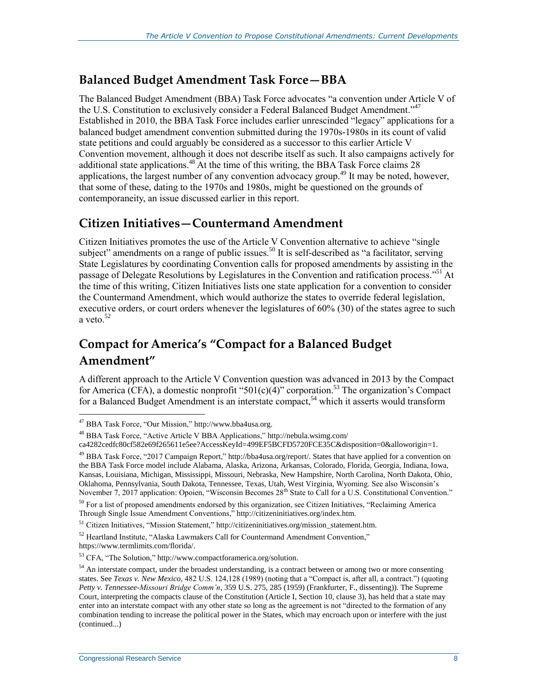#### **Balanced Budget Amendment Task Force—BBA**

The Balanced Budget Amendment (BBA) Task Force advocates "a convention under Article V of the U.S. Constitution to exclusively consider a Federal Balanced Budget Amendment."<sup>47</sup> Established in 2010, the BBA Task Force includes earlier unrescinded "legacy" applications for a balanced budget amendment convention submitted during the 1970s-1980s in its count of valid state petitions and could arguably be considered as a successor to this earlier Article V Convention movement, although it does not describe itself as such. It also campaigns actively for additional state applications.<sup>48</sup> At the time of this writing, the BBA Task Force claims 28 applications, the largest number of any convention advocacy group.<sup>49</sup> It may be noted, however, that some of these, dating to the 1970s and 1980s, might be questioned on the grounds of contemporaneity, an issue discussed earlier in this report.

#### **Citizen Initiatives—Countermand Amendment**

Citizen Initiatives promotes the use of the Article V Convention alternative to achieve "single subject" amendments on a range of public issues.<sup>50</sup> It is self-described as "a facilitator, serving State Legislatures by coordinating Convention calls for proposed amendments by assisting in the passage of Delegate Resolutions by Legislatures in the Convention and ratification process."<sup>51</sup> At the time of this writing, Citizen Initiatives lists one state application for a convention to consider the Countermand Amendment, which would authorize the states to override federal legislation, executive orders, or court orders whenever the legislatures of 60% (30) of the states agree to such a veto. $52$ 

### **Compact for America's "Compact for a Balanced Budget Amendment"**

A different approach to the Article V Convention question was advanced in 2013 by the Compact for America (CFA), a domestic nonprofit "501(c)(4)" corporation.<sup>53</sup> The organization's Compact for a Balanced Budget Amendment is an interstate compact,  $54$  which it asserts would transform

 $\overline{a}$ 

ca4282cedfc80cf582e69f265611e5ee?AccessKeyId=499EF5BCFD5720FCE35C&disposition=0&alloworigin=1.

<sup>47</sup> BBA Task Force, "Our Mission," http://www.bba4usa.org.

<sup>48</sup> BBA Task Force, "Active Article V BBA Applications," http://nebula.wsimg.com/

<sup>49</sup> BBA Task Force, "2017 Campaign Report," http://bba4usa.org/report/. States that have applied for a convention on the BBA Task Force model include Alabama, Alaska, Arizona, Arkansas, Colorado, Florida, Georgia, Indiana, Iowa, Kansas, Louisiana, Michigan, Mississippi, Missouri, Nebraska, New Hampshire, North Carolina, North Dakota, Ohio, Oklahoma, Pennsylvania, South Dakota, Tennessee, Texas, Utah, West Virginia, Wyoming. See also Wisconsin's November 7, 2017 application: Opoien, "Wisconsin Becomes 28<sup>th</sup> State to Call for a U.S. Constitutional Convention."

<sup>&</sup>lt;sup>50</sup> For a list of proposed amendments endorsed by this organization, see Citizen Initiatives, "Reclaiming America Through Single Issue Amendment Conventions," http://citizeninitiatives.org/index.htm.

<sup>51</sup> Citizen Initiatives, "Mission Statement," http://citizeninitiatives.org/mission\_statement.htm.

 $52$  Heartland Institute, "Alaska Lawmakers Call for Countermand Amendment Convention," https://www.termlimits.com/florida/.

<sup>53</sup> CFA, "The Solution," http://www.compactforamerica.org/solution.

 $54$  An interstate compact, under the broadest understanding, is a contract between or among two or more consenting states. See *Texas v. New Mexico*, 482 U.S. 124,128 (1989) (noting that a "Compact is, after all, a contract.") (quoting *Petty v. Tennessee-Missouri Bridge Comm'n*, 359 U.S. 275, 285 (1959) (Frankfurter, F., dissenting)). The Supreme Court, interpreting the compacts clause of the Constitution (Article I, Section 10, clause 3), has held that a state may enter into an interstate compact with any other state so long as the agreement is not "directed to the formation of any combination tending to increase the political power in the States, which may encroach upon or interfere with the just (continued...)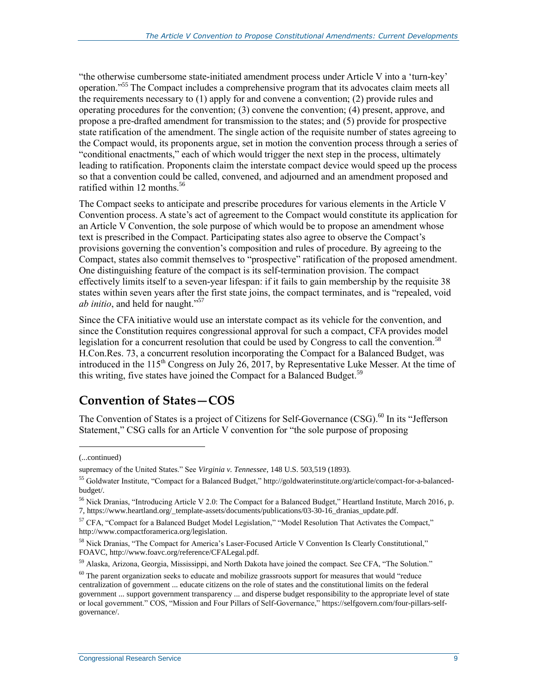"the otherwise cumbersome state-initiated amendment process under Article V into a 'turn-key' operation."<sup>55</sup> The Compact includes a comprehensive program that its advocates claim meets all the requirements necessary to (1) apply for and convene a convention; (2) provide rules and operating procedures for the convention; (3) convene the convention; (4) present, approve, and propose a pre-drafted amendment for transmission to the states; and (5) provide for prospective state ratification of the amendment. The single action of the requisite number of states agreeing to the Compact would, its proponents argue, set in motion the convention process through a series of "conditional enactments," each of which would trigger the next step in the process, ultimately leading to ratification. Proponents claim the interstate compact device would speed up the process so that a convention could be called, convened, and adjourned and an amendment proposed and ratified within 12 months. $56$ 

The Compact seeks to anticipate and prescribe procedures for various elements in the Article V Convention process. A state's act of agreement to the Compact would constitute its application for an Article V Convention, the sole purpose of which would be to propose an amendment whose text is prescribed in the Compact. Participating states also agree to observe the Compact's provisions governing the convention's composition and rules of procedure. By agreeing to the Compact, states also commit themselves to "prospective" ratification of the proposed amendment. One distinguishing feature of the compact is its self-termination provision. The compact effectively limits itself to a seven-year lifespan: if it fails to gain membership by the requisite 38 states within seven years after the first state joins, the compact terminates, and is "repealed, void *ab initio*, and held for naught."<sup>57</sup>

Since the CFA initiative would use an interstate compact as its vehicle for the convention, and since the Constitution requires congressional approval for such a compact, CFA provides model legislation for a concurrent resolution that could be used by Congress to call the convention.<sup>58</sup> H.Con.Res. 73, a concurrent resolution incorporating the Compact for a Balanced Budget, was introduced in the 115<sup>th</sup> Congress on July 26, 2017, by Representative Luke Messer. At the time of this writing, five states have joined the Compact for a Balanced Budget.<sup>59</sup>

#### **Convention of States—COS**

The Convention of States is a project of Citizens for Self-Governance (CSG).<sup>60</sup> In its "Jefferson Statement," CSG calls for an Article V convention for "the sole purpose of proposing

l

<sup>(...</sup>continued)

supremacy of the United States." See *Virginia v. Tennessee*, 148 U.S. 503,519 (1893).

<sup>55</sup> Goldwater Institute, "Compact for a Balanced Budget," http://goldwaterinstitute.org/article/compact-for-a-balancedbudget/.

<sup>56</sup> Nick Dranias, "Introducing Article V 2.0: The Compact for a Balanced Budget," Heartland Institute, March 2016, p. 7, https://www.heartland.org/\_template-assets/documents/publications/03-30-16\_dranias\_update.pdf.

 $57$  CFA, "Compact for a Balanced Budget Model Legislation," "Model Resolution That Activates the Compact,"

http://www.compactforamerica.org/legislation.

<sup>&</sup>lt;sup>58</sup> Nick Dranias, "The Compact for America's Laser-Focused Article V Convention Is Clearly Constitutional," FOAVC, http://www.foavc.org/reference/CFALegal.pdf.

<sup>59</sup> Alaska, Arizona, Georgia, Mississippi, and North Dakota have joined the compact. See CFA, "The Solution."

 $60$  The parent organization seeks to educate and mobilize grassroots support for measures that would "reduce" centralization of government ... educate citizens on the role of states and the constitutional limits on the federal government ... support government transparency ... and disperse budget responsibility to the appropriate level of state or local government." COS, "Mission and Four Pillars of Self-Governance," https://selfgovern.com/four-pillars-selfgovernance/.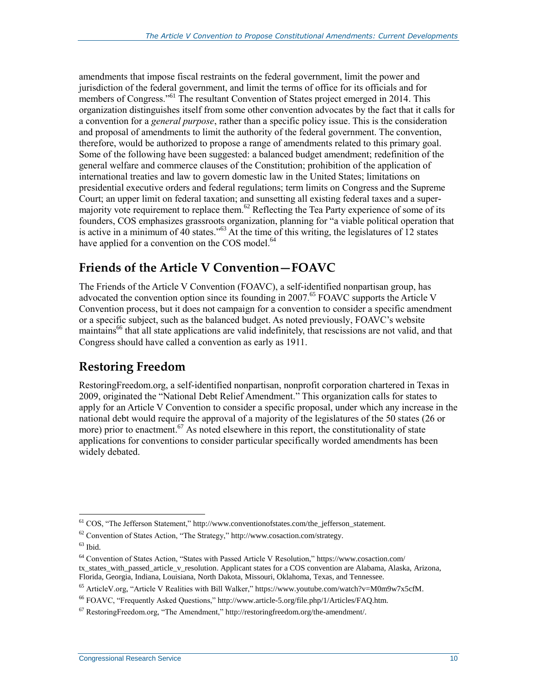amendments that impose fiscal restraints on the federal government, limit the power and jurisdiction of the federal government, and limit the terms of office for its officials and for members of Congress."<sup>61</sup> The resultant Convention of States project emerged in 2014. This organization distinguishes itself from some other convention advocates by the fact that it calls for a convention for a *general purpose*, rather than a specific policy issue. This is the consideration and proposal of amendments to limit the authority of the federal government. The convention, therefore, would be authorized to propose a range of amendments related to this primary goal. Some of the following have been suggested: a balanced budget amendment; redefinition of the general welfare and commerce clauses of the Constitution; prohibition of the application of international treaties and law to govern domestic law in the United States; limitations on presidential executive orders and federal regulations; term limits on Congress and the Supreme Court; an upper limit on federal taxation; and sunsetting all existing federal taxes and a supermajority vote requirement to replace them.<sup>62</sup> Reflecting the Tea Party experience of some of its founders, COS emphasizes grassroots organization, planning for "a viable political operation that is active in a minimum of 40 states."<sup>63</sup> At the time of this writing, the legislatures of 12 states have applied for a convention on the COS model.<sup>64</sup>

#### **Friends of the Article V Convention—FOAVC**

The Friends of the Article V Convention (FOAVC), a self-identified nonpartisan group, has advocated the convention option since its founding in 2007.<sup>65</sup> FOAVC supports the Article V Convention process, but it does not campaign for a convention to consider a specific amendment or a specific subject, such as the balanced budget. As noted previously, FOAVC's website maintains <sup>66</sup> that all state applications are valid indefinitely, that rescissions are not valid, and that Congress should have called a convention as early as 1911.

#### **Restoring Freedom**

RestoringFreedom.org, a self-identified nonpartisan, nonprofit corporation chartered in Texas in 2009, originated the "National Debt Relief Amendment." This organization calls for states to apply for an Article V Convention to consider a specific proposal, under which any increase in the national debt would require the approval of a majority of the legislatures of the 50 states (26 or more) prior to enactment.<sup>67</sup> As noted elsewhere in this report, the constitutionality of state applications for conventions to consider particular specifically worded amendments has been widely debated.

<sup>&</sup>lt;sup>61</sup> COS, "The Jefferson Statement," http://www.conventionofstates.com/the\_jefferson\_statement.

<sup>62</sup> Convention of States Action, "The Strategy," http://www.cosaction.com/strategy.

 $63$  Ibid.

<sup>64</sup> Convention of States Action, "States with Passed Article V Resolution," https://www.cosaction.com/ tx\_states\_with\_passed\_article\_v\_resolution. Applicant states for a COS convention are Alabama, Alaska, Arizona, Florida, Georgia, Indiana, Louisiana, North Dakota, Missouri, Oklahoma, Texas, and Tennessee.

<sup>65</sup> ArticleV.org, "Article V Realities with Bill Walker," https://www.youtube.com/watch?v=M0m9w7x5cfM.

<sup>66</sup> FOAVC, "Frequently Asked Questions," http://www.article-5.org/file.php/1/Articles/FAQ.htm.

 $67$  RestoringFreedom.org, "The Amendment," http://restoringfreedom.org/the-amendment/.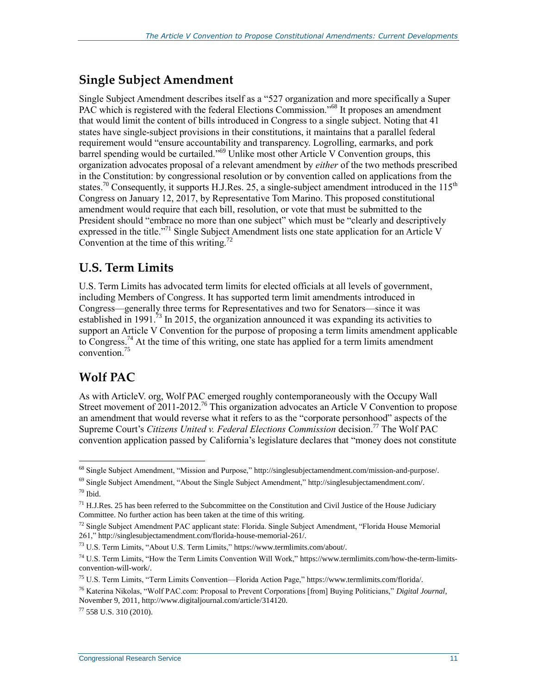#### **Single Subject Amendment**

Single Subject Amendment describes itself as a "527 organization and more specifically a Super PAC which is registered with the federal Elections Commission."<sup>68</sup> It proposes an amendment that would limit the content of bills introduced in Congress to a single subject. Noting that 41 states have single-subject provisions in their constitutions, it maintains that a parallel federal requirement would "ensure accountability and transparency. Logrolling, earmarks, and pork barrel spending would be curtailed."<sup>69</sup> Unlike most other Article V Convention groups, this organization advocates proposal of a relevant amendment by *either* of the two methods prescribed in the Constitution: by congressional resolution or by convention called on applications from the states.<sup>70</sup> Consequently, it supports H.J.Res. 25, a single-subject amendment introduced in the  $115<sup>th</sup>$ Congress on January 12, 2017, by Representative Tom Marino. This proposed constitutional amendment would require that each bill, resolution, or vote that must be submitted to the President should "embrace no more than one subject" which must be "clearly and descriptively expressed in the title."<sup>71</sup> Single Subject Amendment lists one state application for an Article V Convention at the time of this writing.<sup>72</sup>

#### **U.S. Term Limits**

U.S. Term Limits has advocated term limits for elected officials at all levels of government, including Members of Congress. It has supported term limit amendments introduced in Congress—generally three terms for Representatives and two for Senators—since it was established in 1991.<sup>73</sup> In 2015, the organization announced it was expanding its activities to support an Article V Convention for the purpose of proposing a term limits amendment applicable to Congress.<sup>74</sup> At the time of this writing, one state has applied for a term limits amendment convention.<sup>75</sup>

### **Wolf PAC**

 $\overline{a}$ 

As with ArticleV. org, Wolf PAC emerged roughly contemporaneously with the Occupy Wall Street movement of 2011-2012.<sup>76</sup> This organization advocates an Article V Convention to propose an amendment that would reverse what it refers to as the "corporate personhood" aspects of the Supreme Court's *Citizens United v. Federal Elections Commission* decision. <sup>77</sup> The Wolf PAC convention application passed by California's legislature declares that "money does not constitute

 $77$  558 U.S. 310 (2010).

<sup>68</sup> Single Subject Amendment, "Mission and Purpose," http://singlesubjectamendment.com/mission-and-purpose/.

<sup>69</sup> Single Subject Amendment, "About the Single Subject Amendment," http://singlesubjectamendment.com/. <sup>70</sup> Ibid.

 $<sup>71</sup>$  H.J.Res. 25 has been referred to the Subcommittee on the Constitution and Civil Justice of the House Judiciary</sup> Committee. No further action has been taken at the time of this writing.

 $72$  Single Subject Amendment PAC applicant state: Florida. Single Subject Amendment, "Florida House Memorial" 261," http://singlesubjectamendment.com/florida-house-memorial-261/.

<sup>73</sup> U.S. Term Limits, "About U.S. Term Limits," https://www.termlimits.com/about/.

 $74$  U.S. Term Limits, "How the Term Limits Convention Will Work," https://www.termlimits.com/how-the-term-limitsconvention-will-work/.

<sup>75</sup> U.S. Term Limits, "Term Limits Convention—Florida Action Page," https://www.termlimits.com/florida/.

<sup>76</sup> Katerina Nikolas, "Wolf PAC.com: Proposal to Prevent Corporations [from] Buying Politicians," *Digital Journal*, November 9, 2011, http://www.digitaljournal.com/article/314120.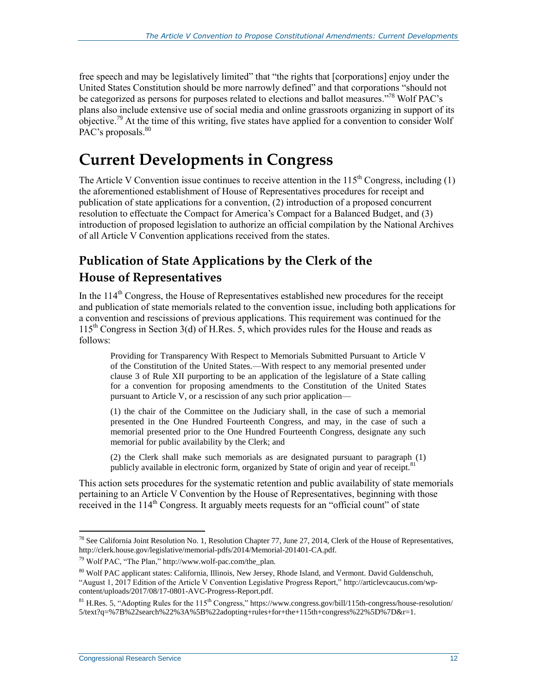free speech and may be legislatively limited" that "the rights that [corporations] enjoy under the United States Constitution should be more narrowly defined" and that corporations "should not be categorized as persons for purposes related to elections and ballot measures."<sup>78</sup> Wolf PAC's plans also include extensive use of social media and online grassroots organizing in support of its objective.<sup>79</sup> At the time of this writing, five states have applied for a convention to consider Wolf PAC's proposals.<sup>80</sup>

### **Current Developments in Congress**

The Article V Convention issue continues to receive attention in the  $115<sup>th</sup>$  Congress, including (1) the aforementioned establishment of House of Representatives procedures for receipt and publication of state applications for a convention, (2) introduction of a proposed concurrent resolution to effectuate the Compact for America's Compact for a Balanced Budget, and (3) introduction of proposed legislation to authorize an official compilation by the National Archives of all Article V Convention applications received from the states.

### **Publication of State Applications by the Clerk of the House of Representatives**

In the 114<sup>th</sup> Congress, the House of Representatives established new procedures for the receipt and publication of state memorials related to the convention issue, including both applications for a convention and rescissions of previous applications. This requirement was continued for the  $115<sup>th</sup>$  Congress in Section 3(d) of H.Res. 5, which provides rules for the House and reads as follows:

Providing for Transparency With Respect to Memorials Submitted Pursuant to Article V of the Constitution of the United States.—With respect to any memorial presented under clause 3 of Rule XII purporting to be an application of the legislature of a State calling for a convention for proposing amendments to the Constitution of the United States pursuant to Article V, or a rescission of any such prior application—

(1) the chair of the Committee on the Judiciary shall, in the case of such a memorial presented in the One Hundred Fourteenth Congress, and may, in the case of such a memorial presented prior to the One Hundred Fourteenth Congress, designate any such memorial for public availability by the Clerk; and

(2) the Clerk shall make such memorials as are designated pursuant to paragraph (1) publicly available in electronic form, organized by State of origin and year of receipt.<sup>81</sup>

This action sets procedures for the systematic retention and public availability of state memorials pertaining to an Article V Convention by the House of Representatives, beginning with those received in the  $114<sup>th</sup>$  Congress. It arguably meets requests for an "official count" of state

<sup>&</sup>lt;sup>78</sup> See California Joint Resolution No. 1, Resolution Chapter 77, June 27, 2014, Clerk of the House of Representatives, http://clerk.house.gov/legislative/memorial-pdfs/2014/Memorial-201401-CA.pdf.

 $^{79}$  Wolf PAC, "The Plan," http://www.wolf-pac.com/the\_plan.

<sup>80</sup> Wolf PAC applicant states: California, Illinois, New Jersey, Rhode Island, and Vermont. David Guldenschuh, "August 1, 2017 Edition of the Article V Convention Legislative Progress Report," http://articlevcaucus.com/wpcontent/uploads/2017/08/17-0801-AVC-Progress-Report.pdf.

 $81$  H.Res. 5, "Adopting Rules for the 115<sup>th</sup> Congress," https://www.congress.gov/bill/115th-congress/house-resolution/ 5/text?q=%7B%22search%22%3A%5B%22adopting+rules+for+the+115th+congress%22%5D%7D&r=1.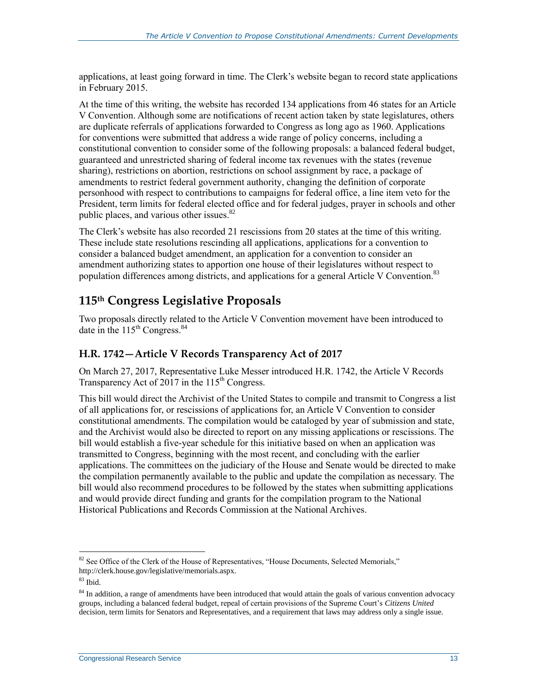applications, at least going forward in time. The Clerk's website began to record state applications in February 2015.

At the time of this writing, the website has recorded 134 applications from 46 states for an Article V Convention. Although some are notifications of recent action taken by state legislatures, others are duplicate referrals of applications forwarded to Congress as long ago as 1960. Applications for conventions were submitted that address a wide range of policy concerns, including a constitutional convention to consider some of the following proposals: a balanced federal budget, guaranteed and unrestricted sharing of federal income tax revenues with the states (revenue sharing), restrictions on abortion, restrictions on school assignment by race, a package of amendments to restrict federal government authority, changing the definition of corporate personhood with respect to contributions to campaigns for federal office, a line item veto for the President, term limits for federal elected office and for federal judges, prayer in schools and other public places, and various other issues.<sup>82</sup>

The Clerk's website has also recorded 21 rescissions from 20 states at the time of this writing. These include state resolutions rescinding all applications, applications for a convention to consider a balanced budget amendment, an application for a convention to consider an amendment authorizing states to apportion one house of their legislatures without respect to population differences among districts, and applications for a general Article V Convention.<sup>83</sup>

#### **115th Congress Legislative Proposals**

Two proposals directly related to the Article V Convention movement have been introduced to date in the  $115<sup>th</sup>$  Congress.<sup>84</sup>

#### **H.R. 1742—Article V Records Transparency Act of 2017**

On March 27, 2017, Representative Luke Messer introduced H.R. 1742, the Article V Records Transparency Act of 2017 in the  $115<sup>th</sup>$  Congress.

This bill would direct the Archivist of the United States to compile and transmit to Congress a list of all applications for, or rescissions of applications for, an Article V Convention to consider constitutional amendments. The compilation would be cataloged by year of submission and state, and the Archivist would also be directed to report on any missing applications or rescissions. The bill would establish a five-year schedule for this initiative based on when an application was transmitted to Congress, beginning with the most recent, and concluding with the earlier applications. The committees on the judiciary of the House and Senate would be directed to make the compilation permanently available to the public and update the compilation as necessary. The bill would also recommend procedures to be followed by the states when submitting applications and would provide direct funding and grants for the compilation program to the National Historical Publications and Records Commission at the National Archives.

 $82$  See Office of the Clerk of the House of Representatives, "House Documents, Selected Memorials," http://clerk.house.gov/legislative/memorials.aspx.

<sup>83</sup> Ibid.

<sup>&</sup>lt;sup>84</sup> In addition, a range of amendments have been introduced that would attain the goals of various convention advocacy groups, including a balanced federal budget, repeal of certain provisions of the Supreme Court's *Citizens United* decision, term limits for Senators and Representatives, and a requirement that laws may address only a single issue.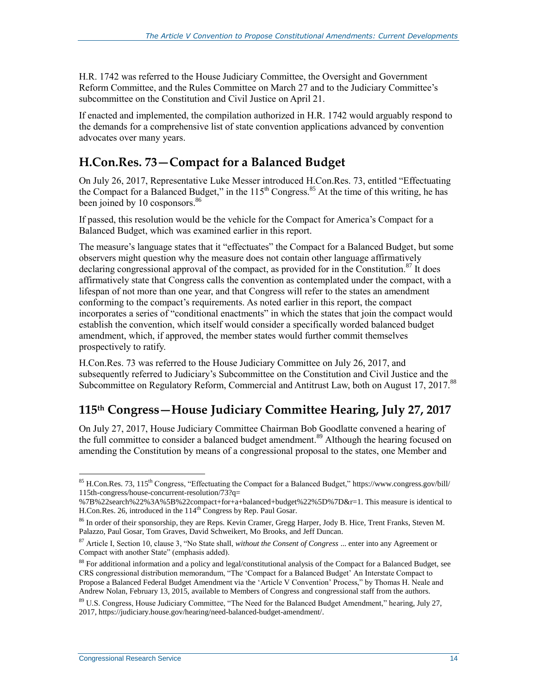H.R. 1742 was referred to the House Judiciary Committee, the Oversight and Government Reform Committee, and the Rules Committee on March 27 and to the Judiciary Committee's subcommittee on the Constitution and Civil Justice on April 21.

If enacted and implemented, the compilation authorized in H.R. 1742 would arguably respond to the demands for a comprehensive list of state convention applications advanced by convention advocates over many years.

#### **H.Con.Res. 73—Compact for a Balanced Budget**

On July 26, 2017, Representative Luke Messer introduced H.Con.Res. 73, entitled "Effectuating the Compact for a Balanced Budget," in the 115<sup>th</sup> Congress.<sup>85</sup> At the time of this writing, he has been joined by 10 cosponsors.<sup>86</sup>

If passed, this resolution would be the vehicle for the Compact for America's Compact for a Balanced Budget, which was examined earlier in this report.

The measure's language states that it "effectuates" the Compact for a Balanced Budget, but some observers might question why the measure does not contain other language affirmatively declaring congressional approval of the compact, as provided for in the Constitution.<sup>87</sup> It does affirmatively state that Congress calls the convention as contemplated under the compact, with a lifespan of not more than one year, and that Congress will refer to the states an amendment conforming to the compact's requirements. As noted earlier in this report, the compact incorporates a series of "conditional enactments" in which the states that join the compact would establish the convention, which itself would consider a specifically worded balanced budget amendment, which, if approved, the member states would further commit themselves prospectively to ratify.

H.Con.Res. 73 was referred to the House Judiciary Committee on July 26, 2017, and subsequently referred to Judiciary's Subcommittee on the Constitution and Civil Justice and the Subcommittee on Regulatory Reform, Commercial and Antitrust Law, both on August 17, 2017.<sup>88</sup>

#### **115th Congress—House Judiciary Committee Hearing, July 27, 2017**

On July 27, 2017, House Judiciary Committee Chairman Bob Goodlatte convened a hearing of the full committee to consider a balanced budget amendment.<sup>89</sup> Although the hearing focused on amending the Constitution by means of a congressional proposal to the states, one Member and

 $\overline{a}$ <sup>85</sup> H.Con.Res. 73, 115<sup>th</sup> Congress, "Effectuating the Compact for a Balanced Budget," https://www.congress.gov/bill/ 115th-congress/house-concurrent-resolution/73?q=

<sup>%7</sup>B%22search%22%3A%5B%22compact+for+a+balanced+budget%22%5D%7D&r=1. This measure is identical to H.Con.Res. 26, introduced in the  $114<sup>th</sup>$  Congress by Rep. Paul Gosar.

<sup>86</sup> In order of their sponsorship, they are Reps. Kevin Cramer, Gregg Harper, Jody B. Hice, Trent Franks, Steven M. Palazzo, Paul Gosar, Tom Graves, David Schweikert, Mo Brooks, and Jeff Duncan.

<sup>87</sup> Article I, Section 10, clause 3, "No State shall, *without the Consent of Congress* ... enter into any Agreement or Compact with another State" (emphasis added).

<sup>88</sup> For additional information and a policy and legal/constitutional analysis of the Compact for a Balanced Budget, see CRS congressional distribution memorandum, "The 'Compact for a Balanced Budget' An Interstate Compact to Propose a Balanced Federal Budget Amendment via the 'Article V Convention' Process," by Thomas H. Neale and Andrew Nolan, February 13, 2015, available to Members of Congress and congressional staff from the authors.

<sup>&</sup>lt;sup>89</sup> U.S. Congress, House Judiciary Committee, "The Need for the Balanced Budget Amendment," hearing, July 27, 2017, https://judiciary.house.gov/hearing/need-balanced-budget-amendment/.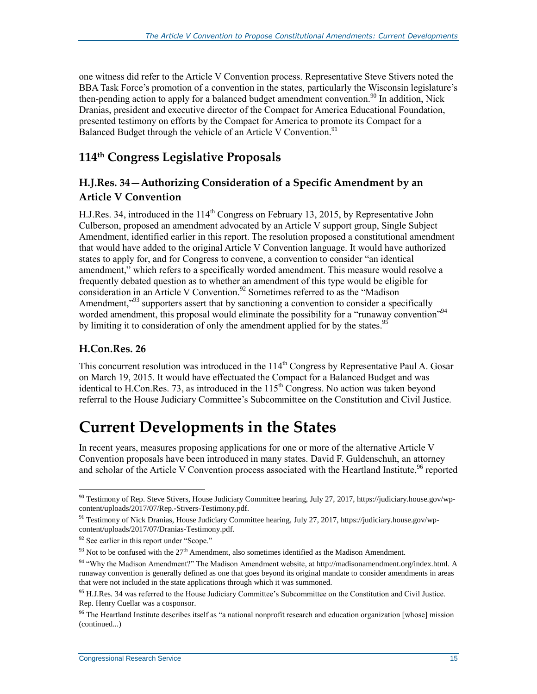one witness did refer to the Article V Convention process. Representative Steve Stivers noted the BBA Task Force's promotion of a convention in the states, particularly the Wisconsin legislature's then-pending action to apply for a balanced budget amendment convention.<sup>90</sup> In addition, Nick Dranias, president and executive director of the Compact for America Educational Foundation, presented testimony on efforts by the Compact for America to promote its Compact for a Balanced Budget through the vehicle of an Article V Convention.<sup>91</sup>

#### **114th Congress Legislative Proposals**

#### **H.J.Res. 34—Authorizing Consideration of a Specific Amendment by an Article V Convention**

H.J.Res. 34, introduced in the  $114<sup>th</sup>$  Congress on February 13, 2015, by Representative John Culberson, proposed an amendment advocated by an Article V support group, Single Subject Amendment, identified earlier in this report. The resolution proposed a constitutional amendment that would have added to the original Article V Convention language. It would have authorized states to apply for, and for Congress to convene, a convention to consider "an identical amendment," which refers to a specifically worded amendment. This measure would resolve a frequently debated question as to whether an amendment of this type would be eligible for consideration in an Article V Convention.<sup>92</sup> Sometimes referred to as the "Madison" Amendment,"<sup>93</sup> supporters assert that by sanctioning a convention to consider a specifically worded amendment, this proposal would eliminate the possibility for a "runaway convention"<sup>94</sup> by limiting it to consideration of only the amendment applied for by the states.<sup>95</sup>

#### **H.Con.Res. 26**

 $\overline{a}$ 

This concurrent resolution was introduced in the  $114<sup>th</sup>$  Congress by Representative Paul A. Gosar on March 19, 2015. It would have effectuated the Compact for a Balanced Budget and was identical to H.Con.Res. 73, as introduced in the  $115<sup>th</sup>$  Congress. No action was taken beyond referral to the House Judiciary Committee's Subcommittee on the Constitution and Civil Justice.

### **Current Developments in the States**

In recent years, measures proposing applications for one or more of the alternative Article V Convention proposals have been introduced in many states. David F. Guldenschuh, an attorney and scholar of the Article V Convention process associated with the Heartland Institute,  $96$  reported

 $90$  Testimony of Rep. Steve Stivers, House Judiciary Committee hearing, July 27, 2017, https://judiciary.house.gov/wpcontent/uploads/2017/07/Rep.-Stivers-Testimony.pdf.

<sup>91</sup> Testimony of Nick Dranias, House Judiciary Committee hearing, July 27, 2017, https://judiciary.house.gov/wpcontent/uploads/2017/07/Dranias-Testimony.pdf.

 $92$  See earlier in this report under "Scope."

 $93$  Not to be confused with the  $27<sup>th</sup>$  Amendment, also sometimes identified as the Madison Amendment.

<sup>94 &</sup>quot;Why the Madison Amendment?" The Madison Amendment website, at http://madisonamendment.org/index.html. A runaway convention is generally defined as one that goes beyond its original mandate to consider amendments in areas that were not included in the state applications through which it was summoned.

<sup>&</sup>lt;sup>95</sup> H.J.Res. 34 was referred to the House Judiciary Committee's Subcommittee on the Constitution and Civil Justice. Rep. Henry Cuellar was a cosponsor.

 $96$  The Heartland Institute describes itself as "a national nonprofit research and education organization [whose] mission (continued...)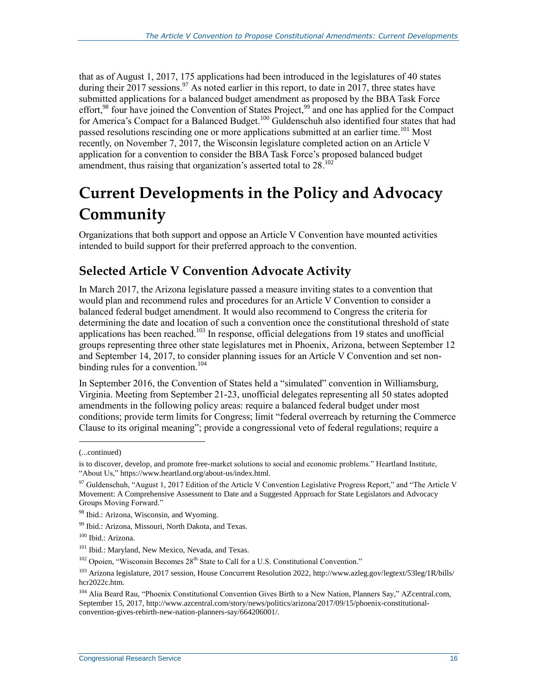that as of August 1, 2017, 175 applications had been introduced in the legislatures of 40 states during their 2017 sessions.<sup>97</sup> As noted earlier in this report, to date in 2017, three states have submitted applications for a balanced budget amendment as proposed by the BBA Task Force effort,<sup>98</sup> four have joined the Convention of States Project,<sup>99</sup> and one has applied for the Compact for America's Compact for a Balanced Budget.<sup>100</sup> Guldenschuh also identified four states that had passed resolutions rescinding one or more applications submitted at an earlier time.<sup>101</sup> Most recently, on November 7, 2017, the Wisconsin legislature completed action on an Article V application for a convention to consider the BBA Task Force's proposed balanced budget amendment, thus raising that organization's asserted total to  $28.102$ 

## **Current Developments in the Policy and Advocacy Community**

Organizations that both support and oppose an Article V Convention have mounted activities intended to build support for their preferred approach to the convention.

#### **Selected Article V Convention Advocate Activity**

In March 2017, the Arizona legislature passed a measure inviting states to a convention that would plan and recommend rules and procedures for an Article V Convention to consider a balanced federal budget amendment. It would also recommend to Congress the criteria for determining the date and location of such a convention once the constitutional threshold of state applications has been reached.<sup>103</sup> In response, official delegations from 19 states and unofficial groups representing three other state legislatures met in Phoenix, Arizona, between September 12 and September 14, 2017, to consider planning issues for an Article V Convention and set nonbinding rules for a convention.<sup>104</sup>

In September 2016, the Convention of States held a "simulated" convention in Williamsburg, Virginia. Meeting from September 21-23, unofficial delegates representing all 50 states adopted amendments in the following policy areas: require a balanced federal budget under most conditions; provide term limits for Congress; limit "federal overreach by returning the Commerce Clause to its original meaning"; provide a congressional veto of federal regulations; require a

l

<sup>(...</sup>continued)

is to discover, develop, and promote free-market solutions to social and economic problems." Heartland Institute, "About Us," https://www.heartland.org/about-us/index.html.

<sup>&</sup>lt;sup>97</sup> Guldenschuh, "August 1, 2017 Edition of the Article V Convention Legislative Progress Report," and "The Article V Movement: A Comprehensive Assessment to Date and a Suggested Approach for State Legislators and Advocacy Groups Moving Forward."

<sup>&</sup>lt;sup>98</sup> Ibid.: Arizona, Wisconsin, and Wyoming.

<sup>99</sup> Ibid.: Arizona, Missouri, North Dakota, and Texas.

<sup>100</sup> Ibid.: Arizona.

<sup>101</sup> Ibid.: Maryland, New Mexico, Nevada, and Texas.

 $102$  Opoien, "Wisconsin Becomes  $28<sup>th</sup>$  State to Call for a U.S. Constitutional Convention."

<sup>&</sup>lt;sup>103</sup> Arizona legislature, 2017 session, House Concurrent Resolution 2022, http://www.azleg.gov/legtext/53leg/1R/bills/ hcr2022c.htm.

<sup>104</sup> Alia Beard Rau, "Phoenix Constitutional Convention Gives Birth to a New Nation, Planners Say," AZcentral.com, September 15, 2017, http://www.azcentral.com/story/news/politics/arizona/2017/09/15/phoenix-constitutionalconvention-gives-rebirth-new-nation-planners-say/664206001/.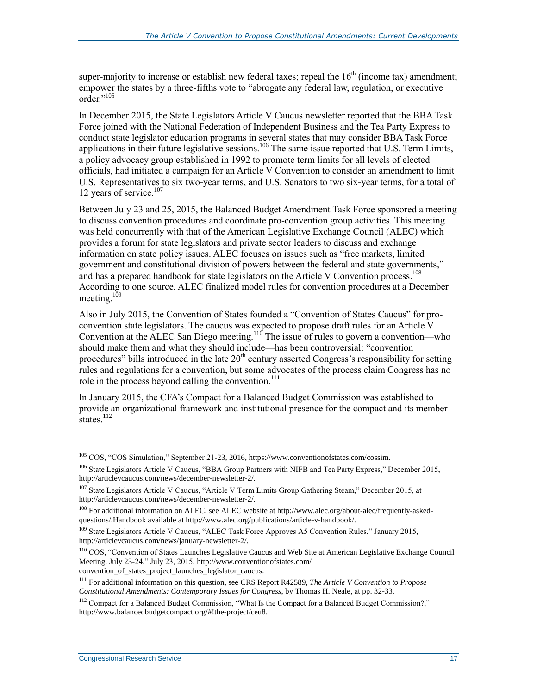super-majority to increase or establish new federal taxes; repeal the  $16<sup>th</sup>$  (income tax) amendment; empower the states by a three-fifths vote to "abrogate any federal law, regulation, or executive order."<sup>105</sup>

In December 2015, the State Legislators Article V Caucus newsletter reported that the BBA Task Force joined with the National Federation of Independent Business and the Tea Party Express to conduct state legislator education programs in several states that may consider BBA Task Force applications in their future legislative sessions.<sup>106</sup> The same issue reported that U.S. Term Limits, a policy advocacy group established in 1992 to promote term limits for all levels of elected officials, had initiated a campaign for an Article V Convention to consider an amendment to limit U.S. Representatives to six two-year terms, and U.S. Senators to two six-year terms, for a total of 12 years of service.<sup>107</sup>

Between July 23 and 25, 2015, the Balanced Budget Amendment Task Force sponsored a meeting to discuss convention procedures and coordinate pro-convention group activities. This meeting was held concurrently with that of the American Legislative Exchange Council (ALEC) which provides a forum for state legislators and private sector leaders to discuss and exchange information on state policy issues. ALEC focuses on issues such as "free markets, limited government and constitutional division of powers between the federal and state governments," and has a prepared handbook for state legislators on the Article V Convention process.<sup>108</sup> According to one source, ALEC finalized model rules for convention procedures at a December meeting.<sup>109</sup>

Also in July 2015, the Convention of States founded a "Convention of States Caucus" for proconvention state legislators. The caucus was expected to propose draft rules for an Article V Convention at the ALEC San Diego meeting.<sup>110</sup> The issue of rules to govern a convention—who should make them and what they should include—has been controversial: "convention procedures" bills introduced in the late  $20<sup>th</sup>$  century asserted Congress's responsibility for setting rules and regulations for a convention, but some advocates of the process claim Congress has no role in the process beyond calling the convention.<sup>111</sup>

In January 2015, the CFA's Compact for a Balanced Budget Commission was established to provide an organizational framework and institutional presence for the compact and its member states. $^{112}$ 

<sup>&</sup>lt;sup>105</sup> COS, "COS Simulation," September 21-23, 2016, https://www.conventionofstates.com/cossim.

<sup>106</sup> State Legislators Article V Caucus, "BBA Group Partners with NIFB and Tea Party Express," December 2015, http://articlevcaucus.com/news/december-newsletter-2/.

<sup>&</sup>lt;sup>107</sup> State Legislators Article V Caucus, "Article V Term Limits Group Gathering Steam," December 2015, at http://articlevcaucus.com/news/december-newsletter-2/.

<sup>108</sup> For additional information on ALEC, see ALEC website at http://www.alec.org/about-alec/frequently-askedquestions/.Handbook available at http://www.alec.org/publications/article-v-handbook/.

<sup>109</sup> State Legislators Article V Caucus, "ALEC Task Force Approves A5 Convention Rules," January 2015, http://articlevcaucus.com/news/january-newsletter-2/.

<sup>110</sup> COS, "Convention of States Launches Legislative Caucus and Web Site at American Legislative Exchange Council Meeting, July 23-24," July 23, 2015, http://www.conventionofstates.com/ convention of states project launches legislator caucus.

<sup>111</sup> For additional information on this question, see CRS Report R42589, *The Article V Convention to Propose Constitutional Amendments: Contemporary Issues for Congress*, by Thomas H. Neale, at pp. 32-33.

<sup>&</sup>lt;sup>112</sup> Compact for a Balanced Budget Commission, "What Is the Compact for a Balanced Budget Commission?," http://www.balancedbudgetcompact.org/#!the-project/ceu8.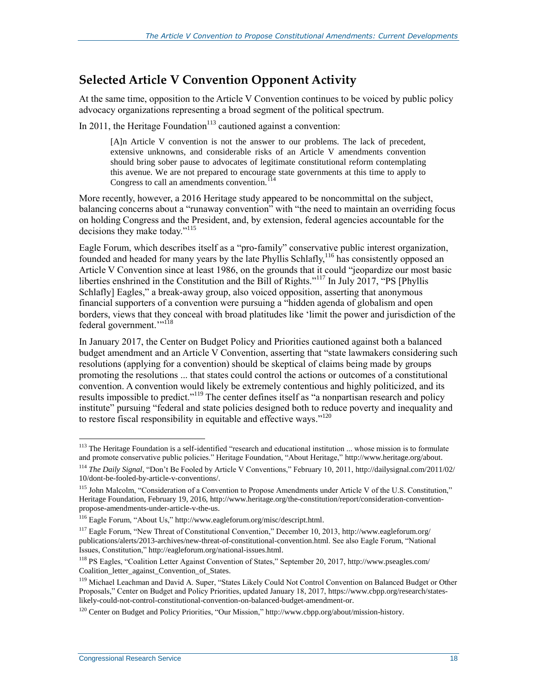#### **Selected Article V Convention Opponent Activity**

At the same time, opposition to the Article V Convention continues to be voiced by public policy advocacy organizations representing a broad segment of the political spectrum.

In 2011, the Heritage Foundation<sup>113</sup> cautioned against a convention:

[A]n Article V convention is not the answer to our problems. The lack of precedent, extensive unknowns, and considerable risks of an Article V amendments convention should bring sober pause to advocates of legitimate constitutional reform contemplating this avenue. We are not prepared to encourage state governments at this time to apply to Congress to call an amendments convention.<sup>114</sup>

More recently, however, a 2016 Heritage study appeared to be noncommittal on the subject, balancing concerns about a "runaway convention" with "the need to maintain an overriding focus on holding Congress and the President, and, by extension, federal agencies accountable for the decisions they make today."<sup>115</sup>

Eagle Forum, which describes itself as a "pro-family" conservative public interest organization, founded and headed for many years by the late Phyllis Schlafly,<sup>116</sup> has consistently opposed an Article V Convention since at least 1986, on the grounds that it could "jeopardize our most basic liberties enshrined in the Constitution and the Bill of Rights."<sup>117</sup> In July 2017, "PS [Phyllis Schlafly] Eagles," a break-away group, also voiced opposition, asserting that anonymous financial supporters of a convention were pursuing a "hidden agenda of globalism and open borders, views that they conceal with broad platitudes like 'limit the power and jurisdiction of the federal government."<sup>118</sup>

In January 2017, the Center on Budget Policy and Priorities cautioned against both a balanced budget amendment and an Article V Convention, asserting that "state lawmakers considering such resolutions (applying for a convention) should be skeptical of claims being made by groups promoting the resolutions ... that states could control the actions or outcomes of a constitutional convention. A convention would likely be extremely contentious and highly politicized, and its results impossible to predict."<sup>119</sup> The center defines itself as "a nonpartisan research and policy institute" pursuing "federal and state policies designed both to reduce poverty and inequality and to restore fiscal responsibility in equitable and effective ways."<sup>120</sup>

<sup>&</sup>lt;sup>113</sup> The Heritage Foundation is a self-identified "research and educational institution ... whose mission is to formulate and promote conservative public policies." Heritage Foundation, "About Heritage," http://www.heritage.org/about.

<sup>114</sup> *The Daily Signal*, "Don't Be Fooled by Article V Conventions," February 10, 2011, http://dailysignal.com/2011/02/ 10/dont-be-fooled-by-article-v-conventions/.

<sup>&</sup>lt;sup>115</sup> John Malcolm, "Consideration of a Convention to Propose Amendments under Article V of the U.S. Constitution," Heritage Foundation, February 19, 2016, http://www.heritage.org/the-constitution/report/consideration-conventionpropose-amendments-under-article-v-the-us.

<sup>116</sup> Eagle Forum, "About Us," http://www.eagleforum.org/misc/descript.html.

<sup>117</sup> Eagle Forum, "New Threat of Constitutional Convention," December 10, 2013, http://www.eagleforum.org/ publications/alerts/2013-archives/new-threat-of-constitutional-convention.html. See also Eagle Forum, "National Issues, Constitution," http://eagleforum.org/national-issues.html.

<sup>118</sup> PS Eagles, "Coalition Letter Against Convention of States," September 20, 2017, http://www.pseagles.com/ Coalition letter against Convention of States.

<sup>&</sup>lt;sup>119</sup> Michael Leachman and David A. Super, "States Likely Could Not Control Convention on Balanced Budget or Other Proposals," Center on Budget and Policy Priorities, updated January 18, 2017, https://www.cbpp.org/research/stateslikely-could-not-control-constitutional-convention-on-balanced-budget-amendment-or.

<sup>120</sup> Center on Budget and Policy Priorities, "Our Mission," http://www.cbpp.org/about/mission-history.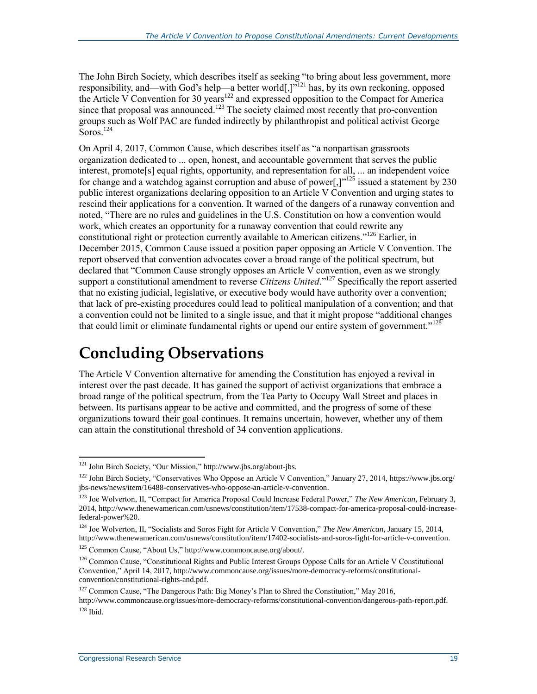The John Birch Society, which describes itself as seeking "to bring about less government, more responsibility, and—with God's help—a better world[,] $v<sup>121</sup>$  has, by its own reckoning, opposed the Article V Convention for 30 years<sup>122</sup> and expressed opposition to the Compact for America since that proposal was announced.<sup>123</sup> The society claimed most recently that pro-convention groups such as Wolf PAC are funded indirectly by philanthropist and political activist George  $S$ oros.<sup>124</sup>

On April 4, 2017, Common Cause, which describes itself as "a nonpartisan grassroots organization dedicated to ... open, honest, and accountable government that serves the public interest, promote[s] equal rights, opportunity, and representation for all, ... an independent voice for change and a watchdog against corruption and abuse of power[,] $v^{125}$  issued a statement by 230 public interest organizations declaring opposition to an Article V Convention and urging states to rescind their applications for a convention. It warned of the dangers of a runaway convention and noted, "There are no rules and guidelines in the U.S. Constitution on how a convention would work, which creates an opportunity for a runaway convention that could rewrite any constitutional right or protection currently available to American citizens."<sup>126</sup> Earlier, in December 2015, Common Cause issued a position paper opposing an Article V Convention. The report observed that convention advocates cover a broad range of the political spectrum, but declared that "Common Cause strongly opposes an Article V convention, even as we strongly support a constitutional amendment to reverse *Citizens United*."<sup>127</sup> Specifically the report asserted that no existing judicial, legislative, or executive body would have authority over a convention; that lack of pre-existing procedures could lead to political manipulation of a convention; and that a convention could not be limited to a single issue, and that it might propose "additional changes that could limit or eliminate fundamental rights or upend our entire system of government."<sup>128</sup>

### **Concluding Observations**

The Article V Convention alternative for amending the Constitution has enjoyed a revival in interest over the past decade. It has gained the support of activist organizations that embrace a broad range of the political spectrum, from the Tea Party to Occupy Wall Street and places in between. Its partisans appear to be active and committed, and the progress of some of these organizations toward their goal continues. It remains uncertain, however, whether any of them can attain the constitutional threshold of 34 convention applications.

<sup>121</sup> John Birch Society, "Our Mission," http://www.jbs.org/about-jbs.

<sup>&</sup>lt;sup>122</sup> John Birch Society, "Conservatives Who Oppose an Article V Convention," January 27, 2014, https://www.jbs.org/ jbs-news/news/item/16488-conservatives-who-oppose-an-article-v-convention.

<sup>123</sup> Joe Wolverton, II, "Compact for America Proposal Could Increase Federal Power," *The New American*, February 3, 2014, http://www.thenewamerican.com/usnews/constitution/item/17538-compact-for-america-proposal-could-increasefederal-power%20.

<sup>124</sup> Joe Wolverton, II, "Socialists and Soros Fight for Article V Convention," *The New American*, January 15, 2014, http://www.thenewamerican.com/usnews/constitution/item/17402-socialists-and-soros-fight-for-article-v-convention.

<sup>125</sup> Common Cause, "About Us," http://www.commoncause.org/about/.

<sup>&</sup>lt;sup>126</sup> Common Cause, "Constitutional Rights and Public Interest Groups Oppose Calls for an Article V Constitutional Convention," April 14, 2017, http://www.commoncause.org/issues/more-democracy-reforms/constitutionalconvention/constitutional-rights-and.pdf.

<sup>&</sup>lt;sup>127</sup> Common Cause, "The Dangerous Path: Big Money's Plan to Shred the Constitution," May 2016, http://www.commoncause.org/issues/more-democracy-reforms/constitutional-convention/dangerous-path-report.pdf.  $128$  Ibid.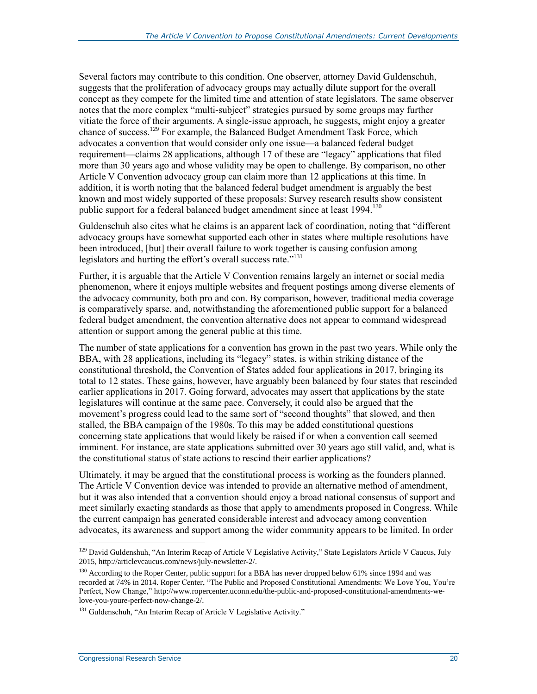Several factors may contribute to this condition. One observer, attorney David Guldenschuh, suggests that the proliferation of advocacy groups may actually dilute support for the overall concept as they compete for the limited time and attention of state legislators. The same observer notes that the more complex "multi-subject" strategies pursued by some groups may further vitiate the force of their arguments. A single-issue approach, he suggests, might enjoy a greater chance of success. <sup>129</sup> For example, the Balanced Budget Amendment Task Force, which advocates a convention that would consider only one issue—a balanced federal budget requirement—claims 28 applications, although 17 of these are "legacy" applications that filed more than 30 years ago and whose validity may be open to challenge. By comparison, no other Article V Convention advocacy group can claim more than 12 applications at this time. In addition, it is worth noting that the balanced federal budget amendment is arguably the best known and most widely supported of these proposals: Survey research results show consistent public support for a federal balanced budget amendment since at least 1994.<sup>130</sup>

Guldenschuh also cites what he claims is an apparent lack of coordination, noting that "different advocacy groups have somewhat supported each other in states where multiple resolutions have been introduced, [but] their overall failure to work together is causing confusion among legislators and hurting the effort's overall success rate."<sup>131</sup>

Further, it is arguable that the Article V Convention remains largely an internet or social media phenomenon, where it enjoys multiple websites and frequent postings among diverse elements of the advocacy community, both pro and con. By comparison, however, traditional media coverage is comparatively sparse, and, notwithstanding the aforementioned public support for a balanced federal budget amendment, the convention alternative does not appear to command widespread attention or support among the general public at this time.

The number of state applications for a convention has grown in the past two years. While only the BBA, with 28 applications, including its "legacy" states, is within striking distance of the constitutional threshold, the Convention of States added four applications in 2017, bringing its total to 12 states. These gains, however, have arguably been balanced by four states that rescinded earlier applications in 2017. Going forward, advocates may assert that applications by the state legislatures will continue at the same pace. Conversely, it could also be argued that the movement's progress could lead to the same sort of "second thoughts" that slowed, and then stalled, the BBA campaign of the 1980s. To this may be added constitutional questions concerning state applications that would likely be raised if or when a convention call seemed imminent. For instance, are state applications submitted over 30 years ago still valid, and, what is the constitutional status of state actions to rescind their earlier applications?

Ultimately, it may be argued that the constitutional process is working as the founders planned. The Article V Convention device was intended to provide an alternative method of amendment, but it was also intended that a convention should enjoy a broad national consensus of support and meet similarly exacting standards as those that apply to amendments proposed in Congress. While the current campaign has generated considerable interest and advocacy among convention advocates, its awareness and support among the wider community appears to be limited. In order

<sup>&</sup>lt;sup>129</sup> David Guldenshuh, "An Interim Recap of Article V Legislative Activity," State Legislators Article V Caucus, July 2015, http://articlevcaucus.com/news/july-newsletter-2/.

<sup>&</sup>lt;sup>130</sup> According to the Roper Center, public support for a BBA has never dropped below 61% since 1994 and was recorded at 74% in 2014. Roper Center, "The Public and Proposed Constitutional Amendments: We Love You, You're Perfect, Now Change," http://www.ropercenter.uconn.edu/the-public-and-proposed-constitutional-amendments-welove-you-youre-perfect-now-change-2/.

<sup>&</sup>lt;sup>131</sup> Guldenschuh, "An Interim Recap of Article V Legislative Activity."